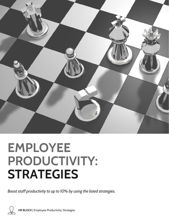

# **EMPLOYEE PRODUCTIVITY: STRATEGIES**

*Boost staff productivity to up to 10% by using the listed strategies.*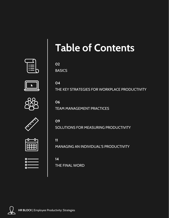

## **Table of Contents**

THE KEY STRATEGIES FOR WORKPLACE PRODUCTIVITY

**02 BASICS** 

**04**





**06** TEAM MANAGEMENT PRACTICES



**09** SOLUTIONS FOR MEASURING PRODUCTIVITY

| n |  |  |  |
|---|--|--|--|
|   |  |  |  |
|   |  |  |  |

| ×   | ═                        |  |
|-----|--------------------------|--|
| o   | —                        |  |
|     |                          |  |
| o   | $\overline{\phantom{a}}$ |  |
|     |                          |  |
| ٠m, |                          |  |

**11** MANAGING AN INDIVIDUAL'S PRODUCTIVITY

### **14** THE FINAL WORD

**HR BLOCK** | Employee Productivity: Strategies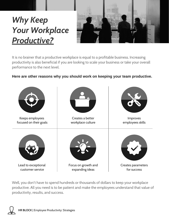## *Why Keep Your Workplace Productive?*



It is no brainer that a productive workplace is equal to a profitable business. Increasing productivity is also beneficial if you are looking to scale your business or take your overall performance to the next level.

### **Here are other reasons why you should work on keeping your team productive.**



Well, you don't have to spend hundreds or thousands of dollars to keep your workplace productive. All you need is to be patient and make the employees understand that value of productivity, results, and success.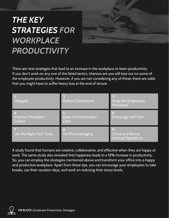### *THE KEY STRATEGIES FOR WORKPLACE PRODUCTIVITY*



There are nine strategies that lead to an increase in the workplace or team productivity. If you don't work on any one of the listed tactics, chances are you will lose out on some of the employee productivity. However, if you are not considering any of these, there are odds that you might have to suffer heavy loss at the end of tenure.

| Delegate                     | <b>Reduce Distractions</b>                  | Keep the Employees<br>Motivated                       |
|------------------------------|---------------------------------------------|-------------------------------------------------------|
| Improve Workplace<br>Culture | <b>Keep Communication</b><br><b>Clear</b>   | 6<br><b>Encourage Self Care</b>                       |
| Use the Right Tech Tools     | $\overline{\mathbf{8}}$<br>No Micromanaging | <b>Check and Revise</b><br><b>Internal Operations</b> |

A study found that humans are creative, collaborative, and effective when they are happy at work. The same study also revealed that happiness leads to a **12%** increase in productivity. So, you can employ the strategies mentioned above and transform your office into a happy and productive workplace. Apart from these tips, you can encourage your employees to take breaks, use their vacation days, and work on reducing their stress levels.